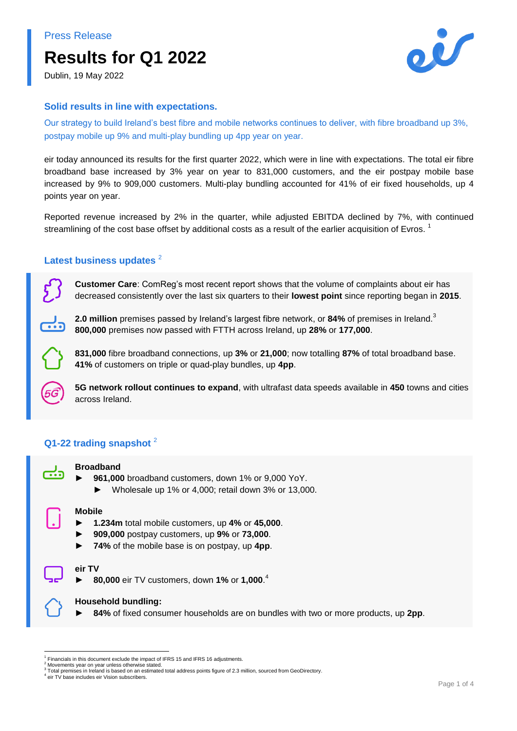# **Results for Q1 2022**



Dublin, 19 May 2022

## **Solid results in line with expectations.**

Our strategy to build Ireland's best fibre and mobile networks continues to deliver, with fibre broadband up 3%, postpay mobile up 9% and multi-play bundling up 4pp year on year.

eir today announced its results for the first quarter 2022, which were in line with expectations. The total eir fibre broadband base increased by 3% year on year to 831,000 customers, and the eir postpay mobile base increased by 9% to 909,000 customers. Multi-play bundling accounted for 41% of eir fixed households, up 4 points year on year.

Reported revenue increased by 2% in the quarter, while adjusted EBITDA declined by 7%, with continued streamlining of the cost base offset by additional costs as a result of the earlier acquisition of Evros.  $^1$ 

# Latest business updates<sup>2</sup>

**Customer Care**: ComReg's most recent report shows that the volume of complaints about eir has decreased consistently over the last six quarters to their **lowest point** since reporting began in **2015**.

**2.0 million** premises passed by Ireland's largest fibre network, or **84%** of premises in Ireland. 3 **800,000** premises now passed with FTTH across Ireland, up **28%** or **177,000**.

**831,000** fibre broadband connections, up **3%** or **21,000**; now totalling **87%** of total broadband base. **41%** of customers on triple or quad-play bundles, up **4pp**.

**5G network rollout continues to expand**, with ultrafast data speeds available in **450** towns and cities across Ireland.

# **Q1-22 trading snapshot** <sup>2</sup>



#### **Broadband**

- ► **961,000** broadband customers, down 1% or 9,000 YoY.
	- ► Wholesale up 1% or 4,000; retail down 3% or 13,000.

# **Mobile**

- ► **1.234m** total mobile customers, up **4%** or **45,000**.
- ► **909,000** postpay customers, up **9%** or **73,000**.
- ► **74%** of the mobile base is on postpay, up **4pp**.

#### **eir TV**

► **80,000** eir TV customers, down **1%** or **1,000**. 4

#### **Household bundling:**

84% of fixed consumer households are on bundles with two or more products, up 2pp.

<sup>-</sup>1 Financials in this document exclude the impact of IFRS 15 and IFRS 16 adjustments.

Movements year on year unless otherwise stated.

<sup>3</sup> Total premises in Ireland is based on an estimated total address points figure of 2.3 million, sourced from GeoDirectory.

<sup>4</sup> eir TV base includes eir Vision subscribers.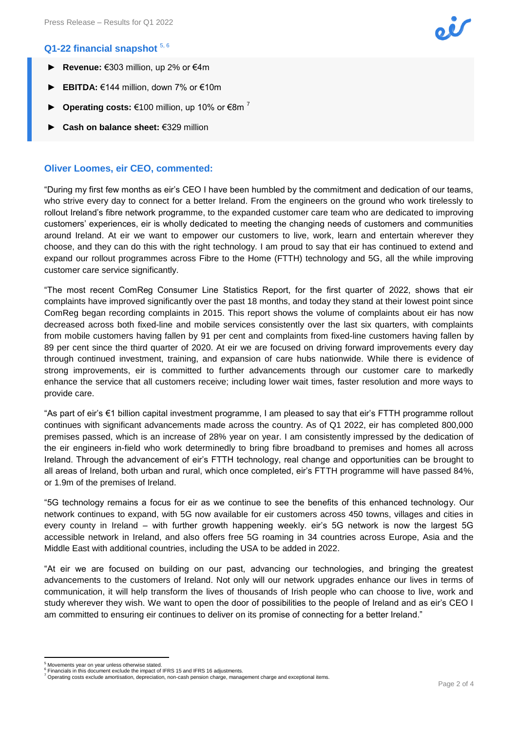## **Q1-22 financial snapshot** 5, 6

- ► **Revenue:** €303 million, up 2% or €4m
- ► **EBITDA:** €144 million, down 7% or €10m
- **Operating costs:** €100 million, up 10% or €8m<sup>7</sup>
- ► **Cash on balance sheet:** €329 million

#### **Oliver Loomes, eir CEO, commented:**

"During my first few months as eir's CEO I have been humbled by the commitment and dedication of our teams, who strive every day to connect for a better Ireland. From the engineers on the ground who work tirelessly to rollout Ireland's fibre network programme, to the expanded customer care team who are dedicated to improving customers' experiences, eir is wholly dedicated to meeting the changing needs of customers and communities around Ireland. At eir we want to empower our customers to live, work, learn and entertain wherever they choose, and they can do this with the right technology. I am proud to say that eir has continued to extend and expand our rollout programmes across Fibre to the Home (FTTH) technology and 5G, all the while improving customer care service significantly.

"The most recent ComReg Consumer Line Statistics Report, for the first quarter of 2022, shows that eir complaints have improved significantly over the past 18 months, and today they stand at their lowest point since ComReg began recording complaints in 2015. This report shows the volume of complaints about eir has now decreased across both fixed-line and mobile services consistently over the last six quarters, with complaints from mobile customers having fallen by 91 per cent and complaints from fixed-line customers having fallen by 89 per cent since the third quarter of 2020. At eir we are focused on driving forward improvements every day through continued investment, training, and expansion of care hubs nationwide. While there is evidence of strong improvements, eir is committed to further advancements through our customer care to markedly enhance the service that all customers receive; including lower wait times, faster resolution and more ways to provide care.

"As part of eir's €1 billion capital investment programme, I am pleased to say that eir's FTTH programme rollout continues with significant advancements made across the country. As of Q1 2022, eir has completed 800,000 premises passed, which is an increase of 28% year on year. I am consistently impressed by the dedication of the eir engineers in-field who work determinedly to bring fibre broadband to premises and homes all across Ireland. Through the advancement of eir's FTTH technology, real change and opportunities can be brought to all areas of Ireland, both urban and rural, which once completed, eir's FTTH programme will have passed 84%, or 1.9m of the premises of Ireland.

"5G technology remains a focus for eir as we continue to see the benefits of this enhanced technology. Our network continues to expand, with 5G now available for eir customers across 450 towns, villages and cities in every county in Ireland – with further growth happening weekly. eir's 5G network is now the largest 5G accessible network in Ireland, and also offers free 5G roaming in 34 countries across Europe, Asia and the Middle East with additional countries, including the USA to be added in 2022.

"At eir we are focused on building on our past, advancing our technologies, and bringing the greatest advancements to the customers of Ireland. Not only will our network upgrades enhance our lives in terms of communication, it will help transform the lives of thousands of Irish people who can choose to live, work and study wherever they wish. We want to open the door of possibilities to the people of Ireland and as eir's CEO I am committed to ensuring eir continues to deliver on its promise of connecting for a better Ireland."

**<sup>.</sup>**  $<sup>5</sup>$  Movements year on year unless otherwise stated</sup>

<sup>&</sup>lt;sup>6</sup> Financials in this document exclude the impact of IFRS 15 and IFRS 16 adjustments.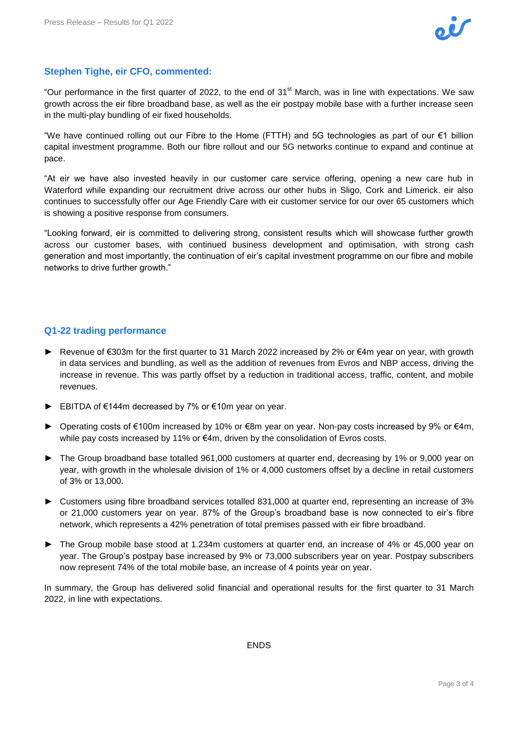# **Stephen Tighe, eir CFO, commented:**

"Our performance in the first quarter of 2022, to the end of 31<sup>st</sup> March, was in line with expectations. We saw growth across the eir fibre broadband base, as well as the eir postpay mobile base with a further increase seen in the multi-play bundling of eir fixed households.

"We have continued rolling out our Fibre to the Home (FTTH) and 5G technologies as part of our €1 billion capital investment programme. Both our fibre rollout and our 5G networks continue to expand and continue at pace.

"At eir we have also invested heavily in our customer care service offering, opening a new care hub in Waterford while expanding our recruitment drive across our other hubs in Sligo, Cork and Limerick. eir also continues to successfully offer our Age Friendly Care with eir customer service for our over 65 customers which is showing a positive response from consumers.

"Looking forward, eir is committed to delivering strong, consistent results which will showcase further growth across our customer bases, with continued business development and optimisation, with strong cash generation and most importantly, the continuation of eir's capital investment programme on our fibre and mobile networks to drive further growth."

# **Q1-22 trading performance**

- ► Revenue of €303m for the first quarter to 31 March 2022 increased by 2% or €4m year on year, with growth in data services and bundling, as well as the addition of revenues from Evros and NBP access, driving the increase in revenue. This was partly offset by a reduction in traditional access, traffic, content, and mobile revenues.
- ► EBITDA of €144m decreased by 7% or €10m year on year.
- ► Operating costs of €100m increased by 10% or €8m year on year. Non-pay costs increased by 9% or €4m, while pay costs increased by 11% or €4m, driven by the consolidation of Evros costs.
- ► The Group broadband base totalled 961,000 customers at quarter end, decreasing by 1% or 9,000 year on year, with growth in the wholesale division of 1% or 4,000 customers offset by a decline in retail customers of 3% or 13,000.
- ► Customers using fibre broadband services totalled 831,000 at quarter end, representing an increase of 3% or 21,000 customers year on year. 87% of the Group's broadband base is now connected to eir's fibre network, which represents a 42% penetration of total premises passed with eir fibre broadband.
- ► The Group mobile base stood at 1.234m customers at quarter end, an increase of 4% or 45,000 year on year. The Group's postpay base increased by 9% or 73,000 subscribers year on year. Postpay subscribers now represent 74% of the total mobile base, an increase of 4 points year on year.

In summary, the Group has delivered solid financial and operational results for the first quarter to 31 March 2022, in line with expectations.